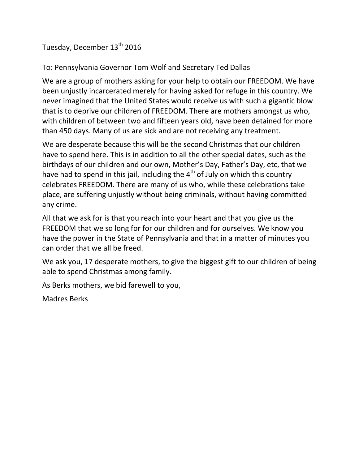Tuesday, December 13<sup>th</sup> 2016

To: Pennsylvania Governor Tom Wolf and Secretary Ted Dallas

We are a group of mothers asking for your help to obtain our FREEDOM. We have been unjustly incarcerated merely for having asked for refuge in this country. We never imagined that the United States would receive us with such a gigantic blow that is to deprive our children of FREEDOM. There are mothers amongst us who, with children of between two and fifteen years old, have been detained for more than 450 days. Many of us are sick and are not receiving any treatment.

We are desperate because this will be the second Christmas that our children have to spend here. This is in addition to all the other special dates, such as the birthdays of our children and our own, Mother's Day, Father's Day, etc, that we have had to spend in this jail, including the  $4<sup>th</sup>$  of July on which this country celebrates FREEDOM. There are many of us who, while these celebrations take place, are suffering unjustly without being criminals, without having committed any crime.

All that we ask for is that you reach into your heart and that you give us the FREEDOM that we so long for for our children and for ourselves. We know you have the power in the State of Pennsylvania and that in a matter of minutes you can order that we all be freed.

We ask you, 17 desperate mothers, to give the biggest gift to our children of being able to spend Christmas among family.

As Berks mothers, we bid farewell to you,

Madres Berks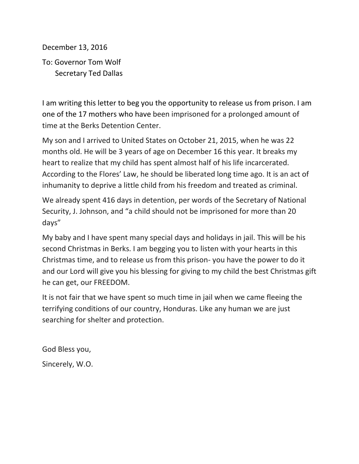December 13, 2016

To: Governor Tom Wolf Secretary Ted Dallas

I am writing this letter to beg you the opportunity to release us from prison. I am one of the 17 mothers who have been imprisoned for a prolonged amount of time at the Berks Detention Center.

My son and I arrived to United States on October 21, 2015, when he was 22 months old. He will be 3 years of age on December 16 this year. It breaks my heart to realize that my child has spent almost half of his life incarcerated. According to the Flores' Law, he should be liberated long time ago. It is an act of inhumanity to deprive a little child from his freedom and treated as criminal.

We already spent 416 days in detention, per words of the Secretary of National Security, J. Johnson, and "a child should not be imprisoned for more than 20 days"

My baby and I have spent many special days and holidays in jail. This will be his second Christmas in Berks. I am begging you to listen with your hearts in this Christmas time, and to release us from this prison- you have the power to do it and our Lord will give you his blessing for giving to my child the best Christmas gift he can get, our FREEDOM.

It is not fair that we have spent so much time in jail when we came fleeing the terrifying conditions of our country, Honduras. Like any human we are just searching for shelter and protection.

God Bless you, Sincerely, W.O.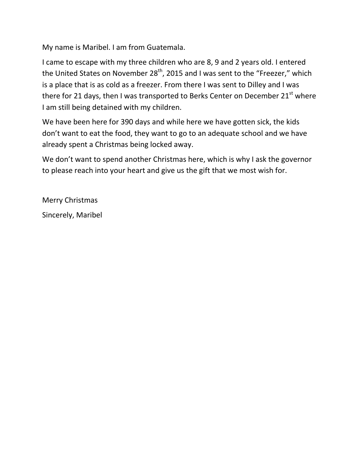My name is Maribel. I am from Guatemala.

I came to escape with my three children who are 8, 9 and 2 years old. I entered the United States on November 28<sup>th</sup>, 2015 and I was sent to the "Freezer," which is a place that is as cold as a freezer. From there I was sent to Dilley and I was there for 21 days, then I was transported to Berks Center on December  $21<sup>st</sup>$  where I am still being detained with my children.

We have been here for 390 days and while here we have gotten sick, the kids don't want to eat the food, they want to go to an adequate school and we have already spent a Christmas being locked away.

We don't want to spend another Christmas here, which is why I ask the governor to please reach into your heart and give us the gift that we most wish for.

Merry Christmas Sincerely, Maribel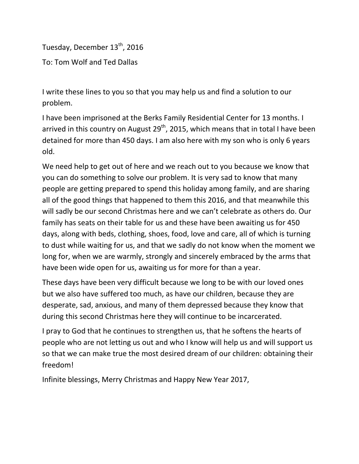Tuesday, December 13<sup>th</sup>, 2016 To: Tom Wolf and Ted Dallas

I write these lines to you so that you may help us and find a solution to our problem.

I have been imprisoned at the Berks Family Residential Center for 13 months. I arrived in this country on August  $29<sup>th</sup>$ , 2015, which means that in total I have been detained for more than 450 days. I am also here with my son who is only 6 years old.

We need help to get out of here and we reach out to you because we know that you can do something to solve our problem. It is very sad to know that many people are getting prepared to spend this holiday among family, and are sharing all of the good things that happened to them this 2016, and that meanwhile this will sadly be our second Christmas here and we can't celebrate as others do. Our family has seats on their table for us and these have been awaiting us for 450 days, along with beds, clothing, shoes, food, love and care, all of which is turning to dust while waiting for us, and that we sadly do not know when the moment we long for, when we are warmly, strongly and sincerely embraced by the arms that have been wide open for us, awaiting us for more for than a year.

These days have been very difficult because we long to be with our loved ones but we also have suffered too much, as have our children, because they are desperate, sad, anxious, and many of them depressed because they know that during this second Christmas here they will continue to be incarcerated.

I pray to God that he continues to strengthen us, that he softens the hearts of people who are not letting us out and who I know will help us and will support us so that we can make true the most desired dream of our children: obtaining their freedom!

Infinite blessings, Merry Christmas and Happy New Year 2017,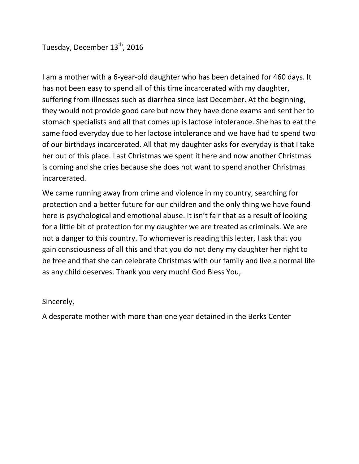Tuesday, December 13<sup>th</sup>, 2016

I am a mother with a 6-year-old daughter who has been detained for 460 days. It has not been easy to spend all of this time incarcerated with my daughter, suffering from illnesses such as diarrhea since last December. At the beginning, they would not provide good care but now they have done exams and sent her to stomach specialists and all that comes up is lactose intolerance. She has to eat the same food everyday due to her lactose intolerance and we have had to spend two of our birthdays incarcerated. All that my daughter asks for everyday is that I take her out of this place. Last Christmas we spent it here and now another Christmas is coming and she cries because she does not want to spend another Christmas incarcerated.

We came running away from crime and violence in my country, searching for protection and a better future for our children and the only thing we have found here is psychological and emotional abuse. It isn't fair that as a result of looking for a little bit of protection for my daughter we are treated as criminals. We are not a danger to this country. To whomever is reading this letter, I ask that you gain consciousness of all this and that you do not deny my daughter her right to be free and that she can celebrate Christmas with our family and live a normal life as any child deserves. Thank you very much! God Bless You,

## Sincerely,

A desperate mother with more than one year detained in the Berks Center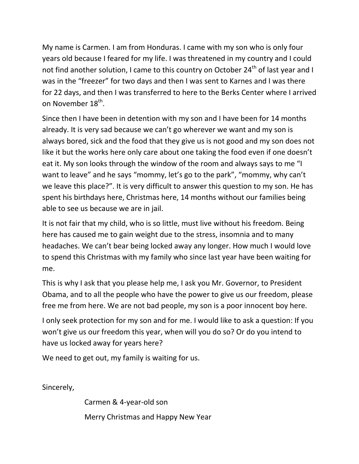My name is Carmen. I am from Honduras. I came with my son who is only four years old because I feared for my life. I was threatened in my country and I could not find another solution, I came to this country on October 24<sup>th</sup> of last year and I was in the "freezer" for two days and then I was sent to Karnes and I was there for 22 days, and then I was transferred to here to the Berks Center where I arrived on November 18<sup>th</sup>.

Since then I have been in detention with my son and I have been for 14 months already. It is very sad because we can't go wherever we want and my son is always bored, sick and the food that they give us is not good and my son does not like it but the works here only care about one taking the food even if one doesn't eat it. My son looks through the window of the room and always says to me "I want to leave" and he says "mommy, let's go to the park", "mommy, why can't we leave this place?". It is very difficult to answer this question to my son. He has spent his birthdays here, Christmas here, 14 months without our families being able to see us because we are in jail.

It is not fair that my child, who is so little, must live without his freedom. Being here has caused me to gain weight due to the stress, insomnia and to many headaches. We can't bear being locked away any longer. How much I would love to spend this Christmas with my family who since last year have been waiting for me.

This is why I ask that you please help me, I ask you Mr. Governor, to President Obama, and to all the people who have the power to give us our freedom, please free me from here. We are not bad people, my son is a poor innocent boy here.

I only seek protection for my son and for me. I would like to ask a question: If you won't give us our freedom this year, when will you do so? Or do you intend to have us locked away for years here?

We need to get out, my family is waiting for us.

Sincerely,

Carmen & 4-year-old son Merry Christmas and Happy New Year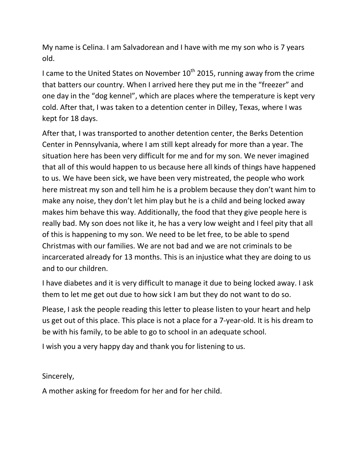My name is Celina. I am Salvadorean and I have with me my son who is 7 years old.

I came to the United States on November 10<sup>th</sup> 2015, running away from the crime that batters our country. When I arrived here they put me in the "freezer" and one day in the "dog kennel", which are places where the temperature is kept very cold. After that, I was taken to a detention center in Dilley, Texas, where I was kept for 18 days.

After that, I was transported to another detention center, the Berks Detention Center in Pennsylvania, where I am still kept already for more than a year. The situation here has been very difficult for me and for my son. We never imagined that all of this would happen to us because here all kinds of things have happened to us. We have been sick, we have been very mistreated, the people who work here mistreat my son and tell him he is a problem because they don't want him to make any noise, they don't let him play but he is a child and being locked away makes him behave this way. Additionally, the food that they give people here is really bad. My son does not like it, he has a very low weight and I feel pity that all of this is happening to my son. We need to be let free, to be able to spend Christmas with our families. We are not bad and we are not criminals to be incarcerated already for 13 months. This is an injustice what they are doing to us and to our children.

I have diabetes and it is very difficult to manage it due to being locked away. I ask them to let me get out due to how sick I am but they do not want to do so.

Please, I ask the people reading this letter to please listen to your heart and help us get out of this place. This place is not a place for a 7-year-old. It is his dream to be with his family, to be able to go to school in an adequate school.

I wish you a very happy day and thank you for listening to us.

Sincerely,

A mother asking for freedom for her and for her child.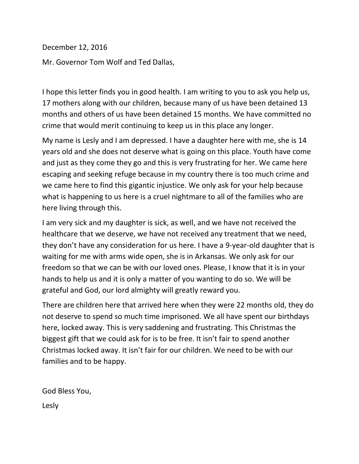December 12, 2016

Mr. Governor Tom Wolf and Ted Dallas,

I hope this letter finds you in good health. I am writing to you to ask you help us, 17 mothers along with our children, because many of us have been detained 13 months and others of us have been detained 15 months. We have committed no crime that would merit continuing to keep us in this place any longer.

My name is Lesly and I am depressed. I have a daughter here with me, she is 14 years old and she does not deserve what is going on this place. Youth have come and just as they come they go and this is very frustrating for her. We came here escaping and seeking refuge because in my country there is too much crime and we came here to find this gigantic injustice. We only ask for your help because what is happening to us here is a cruel nightmare to all of the families who are here living through this.

I am very sick and my daughter is sick, as well, and we have not received the healthcare that we deserve, we have not received any treatment that we need, they don't have any consideration for us here. I have a 9-year-old daughter that is waiting for me with arms wide open, she is in Arkansas. We only ask for our freedom so that we can be with our loved ones. Please, I know that it is in your hands to help us and it is only a matter of you wanting to do so. We will be grateful and God, our lord almighty will greatly reward you.

There are children here that arrived here when they were 22 months old, they do not deserve to spend so much time imprisoned. We all have spent our birthdays here, locked away. This is very saddening and frustrating. This Christmas the biggest gift that we could ask for is to be free. It isn't fair to spend another Christmas locked away. It isn't fair for our children. We need to be with our families and to be happy.

God Bless You, Lesly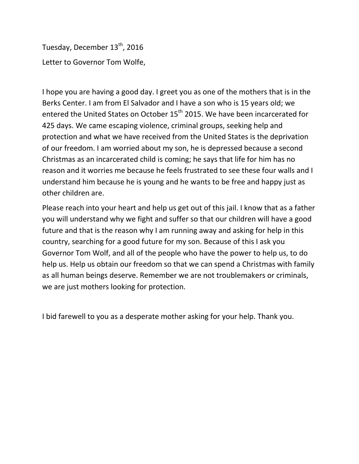Tuesday, December 13<sup>th</sup>, 2016 Letter to Governor Tom Wolfe,

I hope you are having a good day. I greet you as one of the mothers that is in the Berks Center. I am from El Salvador and I have a son who is 15 years old; we entered the United States on October 15<sup>th</sup> 2015. We have been incarcerated for 425 days. We came escaping violence, criminal groups, seeking help and protection and what we have received from the United States is the deprivation of our freedom. I am worried about my son, he is depressed because a second Christmas as an incarcerated child is coming; he says that life for him has no reason and it worries me because he feels frustrated to see these four walls and I understand him because he is young and he wants to be free and happy just as other children are.

Please reach into your heart and help us get out of this jail. I know that as a father you will understand why we fight and suffer so that our children will have a good future and that is the reason why I am running away and asking for help in this country, searching for a good future for my son. Because of this I ask you Governor Tom Wolf, and all of the people who have the power to help us, to do help us. Help us obtain our freedom so that we can spend a Christmas with family as all human beings deserve. Remember we are not troublemakers or criminals, we are just mothers looking for protection.

I bid farewell to you as a desperate mother asking for your help. Thank you.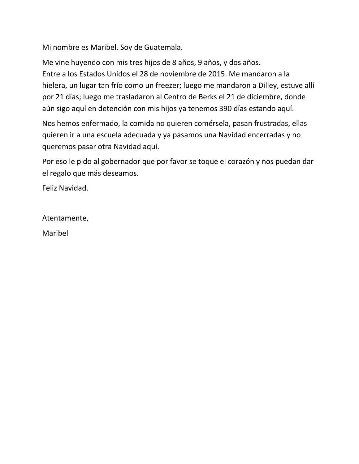Mi nombre es Maribel. Soy de Guatemala.

Me vine huyendo con mis tres hijos de 8 años, 9 años, y dos años. Entre a los Estados Unidos el 28 de noviembre de 2015. Me mandaron a la hielera, un lugar tan frío como un freezer; luego me mandaron a Dilley, estuve allí por 21 días; luego me trasladaron al Centro de Berks el 21 de diciembre, donde aún sigo aquí en detención con mis hijos ya tenemos 390 días estando aquí.

Nos hemos enfermado, la comida no quieren comérsela, pasan frustradas, ellas quieren ir a una escuela adecuada y ya pasamos una Navidad encerradas y no queremos pasar otra Navidad aquí.

Por eso le pido al gobernador que por favor se toque el corazón y nos puedan dar el regalo que más deseamos.

Feliz Navidad.

Atentamente,

Maribel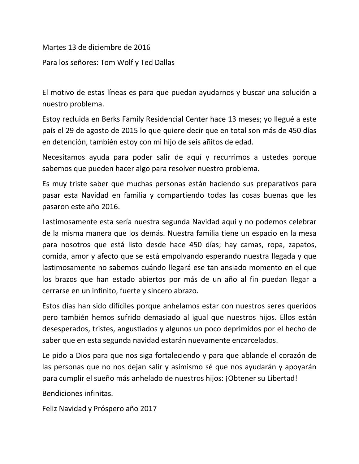Martes 13 de diciembre de 2016

Para los señores: Tom Wolf y Ted Dallas

El motivo de estas líneas es para que puedan ayudarnos y buscar una solución a nuestro problema.

Estoy recluida en Berks Family Residencial Center hace 13 meses; yo llegué a este país el 29 de agosto de 2015 lo que quiere decir que en total son más de 450 días en detención, también estoy con mi hijo de seis añitos de edad.

Necesitamos ayuda para poder salir de aquí y recurrimos a ustedes porque sabemos que pueden hacer algo para resolver nuestro problema.

Es muy triste saber que muchas personas están haciendo sus preparativos para pasar esta Navidad en familia y compartiendo todas las cosas buenas que les pasaron este año 2016.

Lastimosamente esta sería nuestra segunda Navidad aquí y no podemos celebrar de la misma manera que los demás. Nuestra familia tiene un espacio en la mesa para nosotros que está listo desde hace 450 días; hay camas, ropa, zapatos, comida, amor y afecto que se está empolvando esperando nuestra llegada y que lastimosamente no sabemos cuándo llegará ese tan ansiado momento en el que los brazos que han estado abiertos por más de un año al fin puedan llegar a cerrarse en un infinito, fuerte y sincero abrazo.

Estos días han sido difíciles porque anhelamos estar con nuestros seres queridos pero también hemos sufrido demasiado al igual que nuestros hijos. Ellos están desesperados, tristes, angustiados y algunos un poco deprimidos por el hecho de saber que en esta segunda navidad estarán nuevamente encarcelados.

Le pido a Dios para que nos siga fortaleciendo y para que ablande el corazón de las personas que no nos dejan salir y asimismo sé que nos ayudarán y apoyarán para cumplir el sueño más anhelado de nuestros hijos: ¡Obtener su Libertad!

Bendiciones infinitas.

Feliz Navidad y Próspero año 2017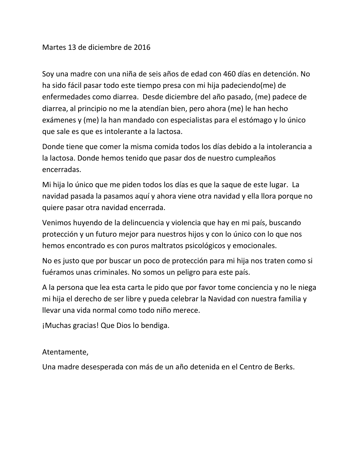Soy una madre con una niña de seis años de edad con 460 días en detención. No ha sido fácil pasar todo este tiempo presa con mi hija padeciendo(me) de enfermedades como diarrea. Desde diciembre del año pasado, (me) padece de diarrea, al principio no me la atendían bien, pero ahora (me) le han hecho exámenes y (me) la han mandado con especialistas para el estómago y lo único que sale es que es intolerante a la lactosa.

Donde tiene que comer la misma comida todos los días debido a la intolerancia a la lactosa. Donde hemos tenido que pasar dos de nuestro cumpleaños encerradas.

Mi hija lo único que me piden todos los días es que la saque de este lugar. La navidad pasada la pasamos aquí y ahora viene otra navidad y ella llora porque no quiere pasar otra navidad encerrada.

Venimos huyendo de la delincuencia y violencia que hay en mi país, buscando protección y un futuro mejor para nuestros hijos y con lo único con lo que nos hemos encontrado es con puros maltratos psicológicos y emocionales.

No es justo que por buscar un poco de protección para mi hija nos traten como si fuéramos unas criminales. No somos un peligro para este país.

A la persona que lea esta carta le pido que por favor tome conciencia y no le niega mi hija el derecho de ser libre y pueda celebrar la Navidad con nuestra familia y llevar una vida normal como todo niño merece.

¡Muchas gracias! Que Dios lo bendiga.

## Atentamente,

Una madre desesperada con más de un año detenida en el Centro de Berks.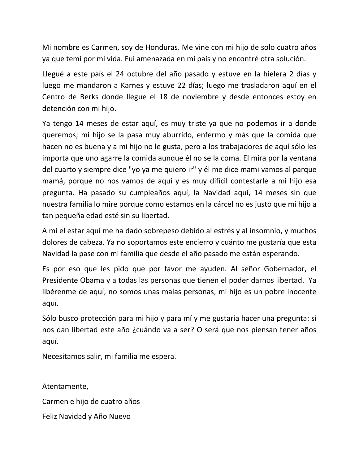Mi nombre es Carmen, soy de Honduras. Me vine con mi hijo de solo cuatro años ya que temí por mi vida. Fui amenazada en mi país y no encontré otra solución.

Llegué a este país el 24 octubre del año pasado y estuve en la hielera 2 días y luego me mandaron a Karnes y estuve 22 días; luego me trasladaron aquí en el Centro de Berks donde llegue el 18 de noviembre y desde entonces estoy en detención con mi hijo.

Ya tengo 14 meses de estar aquí, es muy triste ya que no podemos ir a donde queremos; mi hijo se la pasa muy aburrido, enfermo y más que la comida que hacen no es buena y a mi hijo no le gusta, pero a los trabajadores de aquí sólo les importa que uno agarre la comida aunque él no se la coma. El mira por la ventana del cuarto y siempre dice "yo ya me quiero ir" y él me dice mami vamos al parque mamá, porque no nos vamos de aquí y es muy difícil contestarle a mi hijo esa pregunta. Ha pasado su cumpleaños aquí, la Navidad aquí, 14 meses sin que nuestra familia lo mire porque como estamos en la cárcel no es justo que mi hijo a tan pequeña edad esté sin su libertad.

A mí el estar aquí me ha dado sobrepeso debido al estrés y al insomnio, y muchos dolores de cabeza. Ya no soportamos este encierro y cuánto me gustaría que esta Navidad la pase con mi familia que desde el año pasado me están esperando.

Es por eso que les pido que por favor me ayuden. Al señor Gobernador, el Presidente Obama y a todas las personas que tienen el poder darnos libertad. Ya libérenme de aquí, no somos unas malas personas, mi hijo es un pobre inocente aquí.

Sólo busco protección para mi hijo y para mí y me gustaría hacer una pregunta: si nos dan libertad este año ¿cuándo va a ser? O será que nos piensan tener años aquí.

Necesitamos salir, mi familia me espera.

Atentamente, Carmen e hijo de cuatro años Feliz Navidad y Año Nuevo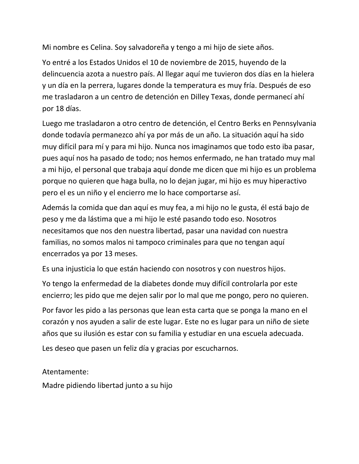Mi nombre es Celina. Soy salvadoreña y tengo a mi hijo de siete años.

Yo entré a los Estados Unidos el 10 de noviembre de 2015, huyendo de la delincuencia azota a nuestro país. Al llegar aquí me tuvieron dos días en la hielera y un día en la perrera, lugares donde la temperatura es muy fría. Después de eso me trasladaron a un centro de detención en Dilley Texas, donde permanecí ahí por 18 días.

Luego me trasladaron a otro centro de detención, el Centro Berks en Pennsylvania donde todavía permanezco ahí ya por más de un año. La situación aquí ha sido muy difícil para mí y para mi hijo. Nunca nos imaginamos que todo esto iba pasar, pues aquí nos ha pasado de todo; nos hemos enfermado, ne han tratado muy mal a mi hijo, el personal que trabaja aquí donde me dicen que mi hijo es un problema porque no quieren que haga bulla, no lo dejan jugar, mi hijo es muy hiperactivo pero el es un niño y el encierro me lo hace comportarse así.

Además la comida que dan aquí es muy fea, a mi hijo no le gusta, él está bajo de peso y me da lástima que a mi hijo le esté pasando todo eso. Nosotros necesitamos que nos den nuestra libertad, pasar una navidad con nuestra familias, no somos malos ni tampoco criminales para que no tengan aquí encerrados ya por 13 meses.

Es una injusticia lo que están haciendo con nosotros y con nuestros hijos.

Yo tengo la enfermedad de la diabetes donde muy difícil controlarla por este encierro; les pido que me dejen salir por lo mal que me pongo, pero no quieren.

Por favor les pido a las personas que lean esta carta que se ponga la mano en el corazón y nos ayuden a salir de este lugar. Este no es lugar para un niño de siete años que su ilusión es estar con su familia y estudiar en una escuela adecuada.

Les deseo que pasen un feliz día y gracias por escucharnos.

Atentamente:

Madre pidiendo libertad junto a su hijo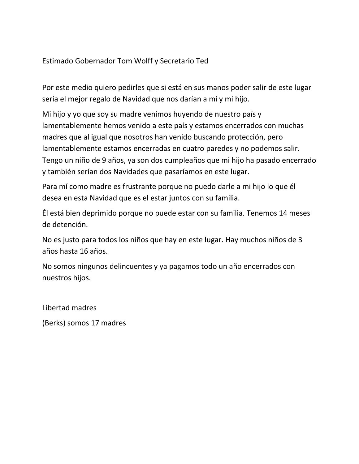Estimado Gobernador Tom Wolff y Secretario Ted

Por este medio quiero pedirles que si está en sus manos poder salir de este lugar sería el mejor regalo de Navidad que nos darían a mí y mi hijo.

Mi hijo y yo que soy su madre venimos huyendo de nuestro país y lamentablemente hemos venido a este país y estamos encerrados con muchas madres que al igual que nosotros han venido buscando protección, pero lamentablemente estamos encerradas en cuatro paredes y no podemos salir. Tengo un niño de 9 años, ya son dos cumpleaños que mi hijo ha pasado encerrado y también serían dos Navidades que pasaríamos en este lugar.

Para mí como madre es frustrante porque no puedo darle a mi hijo lo que él desea en esta Navidad que es el estar juntos con su familia.

Él está bien deprimido porque no puede estar con su familia. Tenemos 14 meses de detención.

No es justo para todos los niños que hay en este lugar. Hay muchos niños de 3 años hasta 16 años.

No somos ningunos delincuentes y ya pagamos todo un año encerrados con nuestros hijos.

Libertad madres

(Berks) somos 17 madres